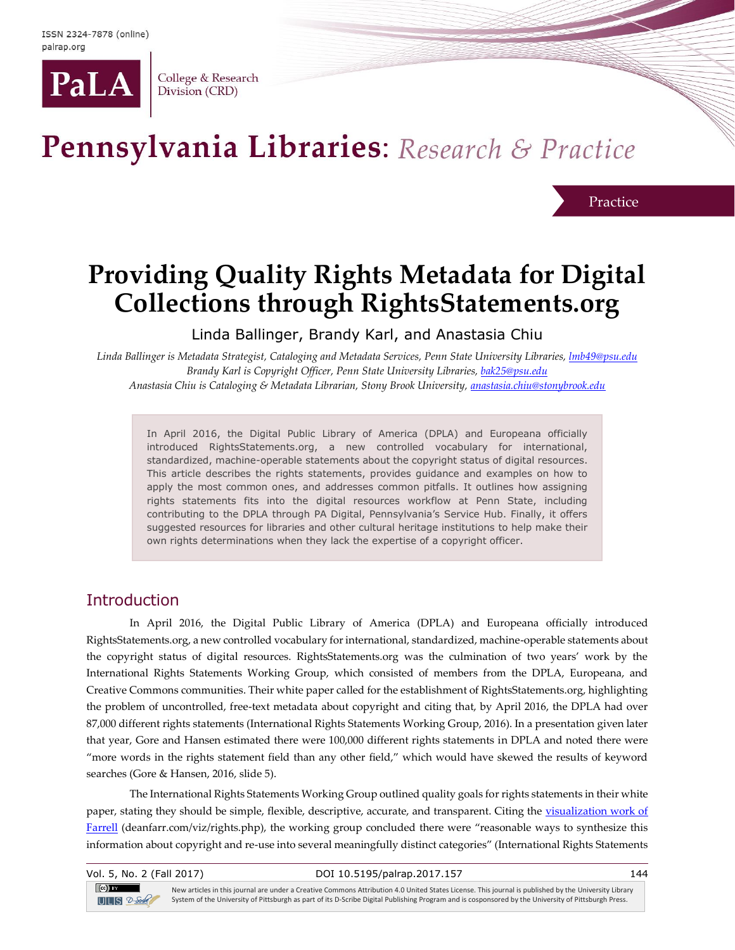

College & Research Division (CRD)

# Pennsylvania Libraries: Research & Practice

Practice

## **Providing Quality Rights Metadata for Digital Collections through RightsStatements.org**

Linda Ballinger, Brandy Karl, and Anastasia Chiu

*Linda Ballinger is Metadata Strategist, Cataloging and Metadata Services, Penn State University Libraries, [lmb49@psu.edu](mailto:lmb49@psu.edu) Brandy Karl is Copyright Officer, Penn State University Libraries, [bak25@psu.edu](mailto:bak25@psu.edu) Anastasia Chiu is Cataloging & Metadata Librarian, Stony Brook University, [anastasia.chiu@stonybrook.edu](mailto:anastasia.chiu@stonybrook.edu)*

In April 2016, the Digital Public Library of America (DPLA) and Europeana officially introduced RightsStatements.org, a new controlled vocabulary for international, standardized, machine-operable statements about the copyright status of digital resources. This article describes the rights statements, provides guidance and examples on how to apply the most common ones, and addresses common pitfalls. It outlines how assigning rights statements fits into the digital resources workflow at Penn State, including contributing to the DPLA through PA Digital, Pennsylvania's Service Hub. Finally, it offers suggested resources for libraries and other cultural heritage institutions to help make their own rights determinations when they lack the expertise of a copyright officer.

## **Introduction**

In April 2016, the Digital Public Library of America (DPLA) and Europeana officially introduced RightsStatements.org, a new controlled vocabulary for international, standardized, machine-operable statements about the copyright status of digital resources. RightsStatements.org was the culmination of two years' work by the International Rights Statements Working Group, which consisted of members from the DPLA, Europeana, and Creative Commons communities. Their white paper called for the establishment of RightsStatements.org, highlighting the problem of uncontrolled, free-text metadata about copyright and citing that, by April 2016, the DPLA had over 87,000 different rights statements (International Rights Statements Working Group, 2016). In a presentation given later that year, Gore and Hansen estimated there were 100,000 different rights statements in DPLA and noted there were "more words in the rights statement field than any other field," which would have skewed the results of keyword searches (Gore & Hansen, 2016, slide 5).

The International Rights Statements Working Group outlined quality goals for rights statements in their white paper, stating they should be simple, flexible, descriptive, accurate, and transparent. Citing the visualization work of [Farrell](http://deanfarr.com/viz/rights.php) (deanfarr.com/viz/rights.php), the working group concluded there were "reasonable ways to synthesize this information about copyright and re-use into several meaningfully distinct categories" (International Rights Statements

| Vol. 5, No. 2 (Fall 2017)                    | DOI 10.5195/palrap.2017.157                                                                                                                                                                                                                                                                                 | 144 |
|----------------------------------------------|-------------------------------------------------------------------------------------------------------------------------------------------------------------------------------------------------------------------------------------------------------------------------------------------------------------|-----|
| $\left( $ cc $\right)$ by<br>$UIB$ $2$ -Sole | New articles in this journal are under a Creative Commons Attribution 4.0 United States License. This journal is published by the University Library<br>System of the University of Pittsburgh as part of its D-Scribe Digital Publishing Program and is cosponsored by the University of Pittsburgh Press. |     |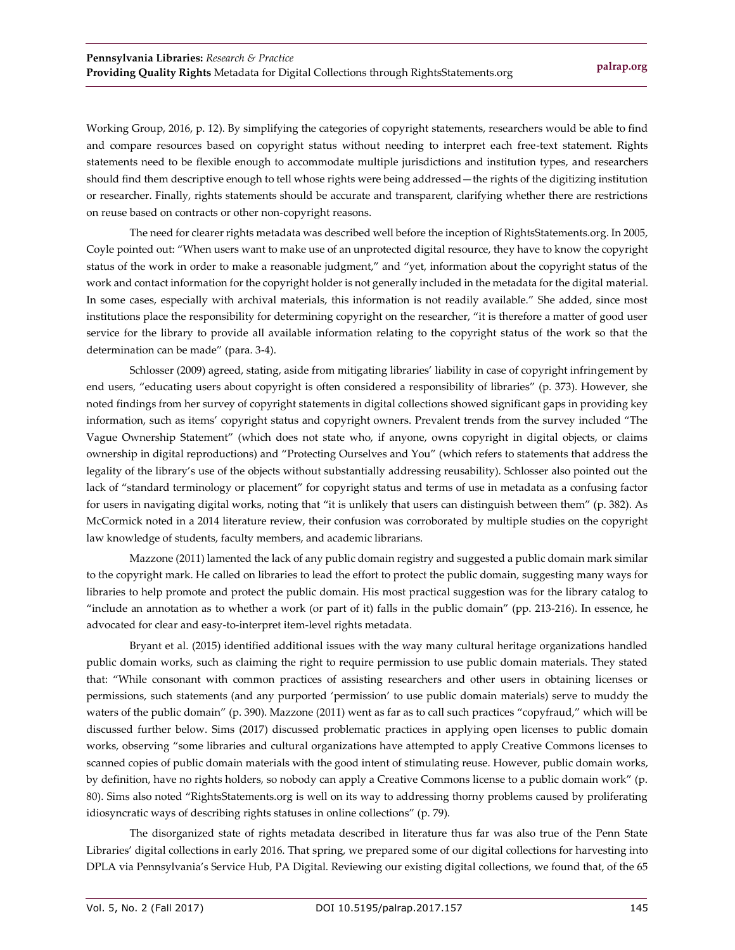Working Group, 2016, p. 12). By simplifying the categories of copyright statements, researchers would be able to find and compare resources based on copyright status without needing to interpret each free-text statement. Rights statements need to be flexible enough to accommodate multiple jurisdictions and institution types, and researchers should find them descriptive enough to tell whose rights were being addressed—the rights of the digitizing institution or researcher. Finally, rights statements should be accurate and transparent, clarifying whether there are restrictions on reuse based on contracts or other non-copyright reasons.

The need for clearer rights metadata was described well before the inception of RightsStatements.org. In 2005, Coyle pointed out: "When users want to make use of an unprotected digital resource, they have to know the copyright status of the work in order to make a reasonable judgment," and "yet, information about the copyright status of the work and contact information for the copyright holder is not generally included in the metadata for the digital material. In some cases, especially with archival materials, this information is not readily available." She added, since most institutions place the responsibility for determining copyright on the researcher, "it is therefore a matter of good user service for the library to provide all available information relating to the copyright status of the work so that the determination can be made" (para. 3-4).

Schlosser (2009) agreed, stating, aside from mitigating libraries' liability in case of copyright infringement by end users, "educating users about copyright is often considered a responsibility of libraries" (p. 373). However, she noted findings from her survey of copyright statements in digital collections showed significant gaps in providing key information, such as items' copyright status and copyright owners. Prevalent trends from the survey included "The Vague Ownership Statement" (which does not state who, if anyone, owns copyright in digital objects, or claims ownership in digital reproductions) and "Protecting Ourselves and You" (which refers to statements that address the legality of the library's use of the objects without substantially addressing reusability). Schlosser also pointed out the lack of "standard terminology or placement" for copyright status and terms of use in metadata as a confusing factor for users in navigating digital works, noting that "it is unlikely that users can distinguish between them" (p. 382). As McCormick noted in a 2014 literature review, their confusion was corroborated by multiple studies on the copyright law knowledge of students, faculty members, and academic librarians.

Mazzone (2011) lamented the lack of any public domain registry and suggested a public domain mark similar to the copyright mark. He called on libraries to lead the effort to protect the public domain, suggesting many ways for libraries to help promote and protect the public domain. His most practical suggestion was for the library catalog to "include an annotation as to whether a work (or part of it) falls in the public domain" (pp. 213-216). In essence, he advocated for clear and easy-to-interpret item-level rights metadata.

Bryant et al. (2015) identified additional issues with the way many cultural heritage organizations handled public domain works, such as claiming the right to require permission to use public domain materials. They stated that: "While consonant with common practices of assisting researchers and other users in obtaining licenses or permissions, such statements (and any purported 'permission' to use public domain materials) serve to muddy the waters of the public domain" (p. 390). Mazzone (2011) went as far as to call such practices "copyfraud," which will be discussed further below. Sims (2017) discussed problematic practices in applying open licenses to public domain works, observing "some libraries and cultural organizations have attempted to apply Creative Commons licenses to scanned copies of public domain materials with the good intent of stimulating reuse. However, public domain works, by definition, have no rights holders, so nobody can apply a Creative Commons license to a public domain work" (p. 80). Sims also noted "RightsStatements.org is well on its way to addressing thorny problems caused by proliferating idiosyncratic ways of describing rights statuses in online collections" (p. 79).

The disorganized state of rights metadata described in literature thus far was also true of the Penn State Libraries' digital collections in early 2016. That spring, we prepared some of our digital collections for harvesting into DPLA via Pennsylvania's Service Hub, PA Digital. Reviewing our existing digital collections, we found that, of the 65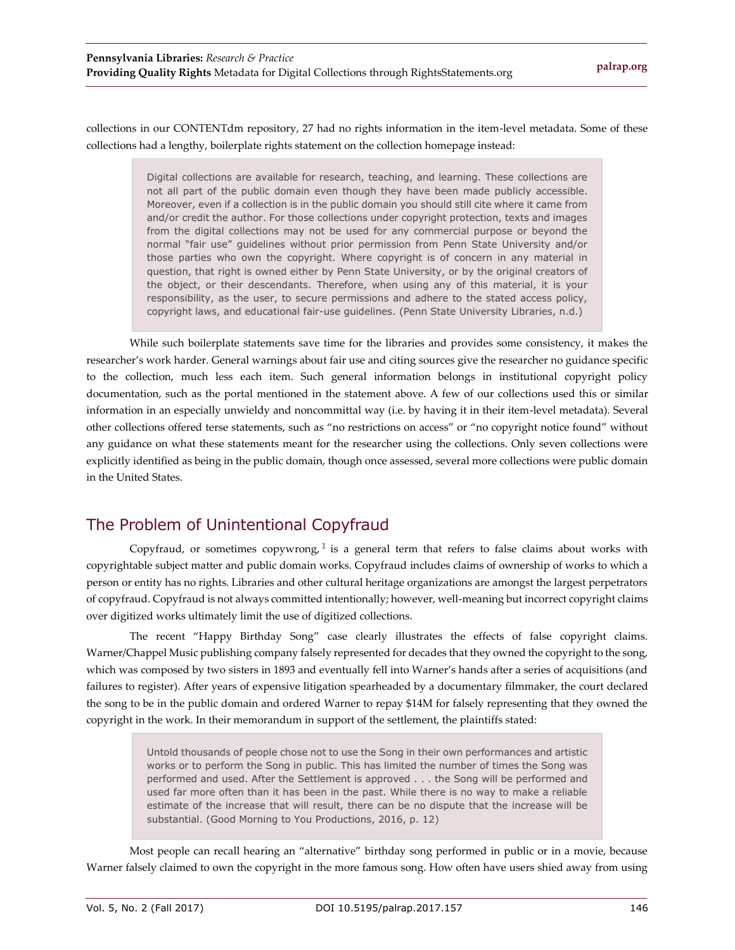collections in our CONTENTdm repository, 27 had no rights information in the item-level metadata. Some of these collections had a lengthy, boilerplate rights statement on the collection homepage instead:

> Digital collections are available for research, teaching, and learning. These collections are not all part of the public domain even though they have been made publicly accessible. Moreover, even if a collection is in the public domain you should still cite where it came from and/or credit the author. For those collections under copyright protection, texts and images from the digital collections may not be used for any commercial purpose or beyond the normal "fair use" guidelines without prior permission from Penn State University and/or those parties who own the copyright. Where copyright is of concern in any material in question, that right is owned either by Penn State University, or by the original creators of the object, or their descendants. Therefore, when using any of this material, it is your responsibility, as the user, to secure permissions and adhere to the stated access policy, copyright laws, and educational fair-use guidelines. (Penn State University Libraries, n.d.)

While such boilerplate statements save time for the libraries and provides some consistency, it makes the researcher's work harder. General warnings about fair use and citing sources give the researcher no guidance specific to the collection, much less each item. Such general information belongs in institutional copyright policy documentation, such as the portal mentioned in the statement above. A few of our collections used this or similar information in an especially unwieldy and noncommittal way (i.e. by having it in their item-level metadata). Several other collections offered terse statements, such as "no restrictions on access" or "no copyright notice found" without any guidance on what these statements meant for the researcher using the collections. Only seven collections were explicitly identified as being in the public domain, though once assessed, several more collections were public domain in the United States.

## The Problem of Unintentional Copyfraud

Copyfraud, or sometimes copywrong,  $1$  is a general term that refers to false claims about works with copyrightable subject matter and public domain works. Copyfraud includes claims of ownership of works to which a person or entity has no rights. Libraries and other cultural heritage organizations are amongst the largest perpetrators of copyfraud. Copyfraud is not always committed intentionally; however, well-meaning but incorrect copyright claims over digitized works ultimately limit the use of digitized collections.

The recent "Happy Birthday Song" case clearly illustrates the effects of false copyright claims. Warner/Chappel Music publishing company falsely represented for decades that they owned the copyright to the song, which was composed by two sisters in 1893 and eventually fell into Warner's hands after a series of acquisitions (and failures to register). After years of expensive litigation spearheaded by a documentary filmmaker, the court declared the song to be in the public domain and ordered Warner to repay \$14M for falsely representing that they owned the copyright in the work. In their memorandum in support of the settlement, the plaintiffs stated:

> Untold thousands of people chose not to use the Song in their own performances and artistic works or to perform the Song in public. This has limited the number of times the Song was performed and used. After the Settlement is approved . . . the Song will be performed and used far more often than it has been in the past. While there is no way to make a reliable estimate of the increase that will result, there can be no dispute that the increase will be substantial. (Good Morning to You Productions, 2016, p. 12)

Most people can recall hearing an "alternative" birthday song performed in public or in a movie, because Warner falsely claimed to own the copyright in the more famous song. How often have users shied away from using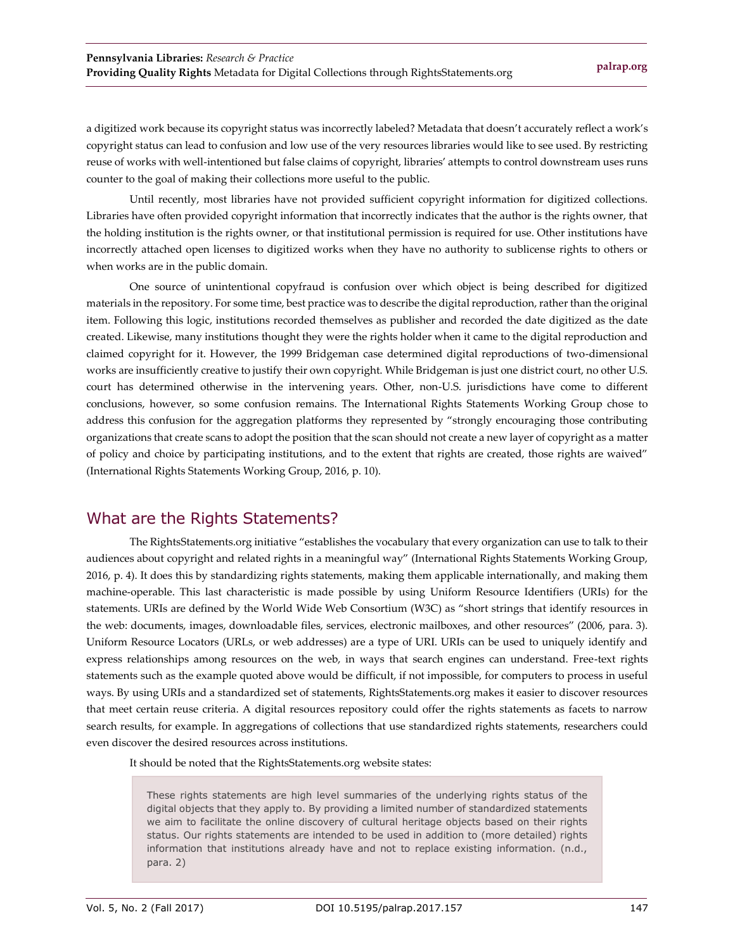a digitized work because its copyright status was incorrectly labeled? Metadata that doesn't accurately reflect a work's copyright status can lead to confusion and low use of the very resources libraries would like to see used. By restricting reuse of works with well-intentioned but false claims of copyright, libraries' attempts to control downstream uses runs counter to the goal of making their collections more useful to the public.

Until recently, most libraries have not provided sufficient copyright information for digitized collections. Libraries have often provided copyright information that incorrectly indicates that the author is the rights owner, that the holding institution is the rights owner, or that institutional permission is required for use. Other institutions have incorrectly attached open licenses to digitized works when they have no authority to sublicense rights to others or when works are in the public domain.

One source of unintentional copyfraud is confusion over which object is being described for digitized materials in the repository. For some time, best practice was to describe the digital reproduction, rather than the original item. Following this logic, institutions recorded themselves as publisher and recorded the date digitized as the date created. Likewise, many institutions thought they were the rights holder when it came to the digital reproduction and claimed copyright for it. However, the 1999 Bridgeman case determined digital reproductions of two-dimensional works are insufficiently creative to justify their own copyright. While Bridgeman is just one district court, no other U.S. court has determined otherwise in the intervening years. Other, non-U.S. jurisdictions have come to different conclusions, however, so some confusion remains. The International Rights Statements Working Group chose to address this confusion for the aggregation platforms they represented by "strongly encouraging those contributing organizations that create scans to adopt the position that the scan should not create a new layer of copyright as a matter of policy and choice by participating institutions, and to the extent that rights are created, those rights are waived" (International Rights Statements Working Group, 2016, p. 10).

## What are the Rights Statements?

The RightsStatements.org initiative "establishes the vocabulary that every organization can use to talk to their audiences about copyright and related rights in a meaningful way" (International Rights Statements Working Group, 2016, p. 4). It does this by standardizing rights statements, making them applicable internationally, and making them machine-operable. This last characteristic is made possible by using Uniform Resource Identifiers (URIs) for the statements. URIs are defined by the World Wide Web Consortium (W3C) as "short strings that identify resources in the web: documents, images, downloadable files, services, electronic mailboxes, and other resources" (2006, para. 3). Uniform Resource Locators (URLs, or web addresses) are a type of URI. URIs can be used to uniquely identify and express relationships among resources on the web, in ways that search engines can understand. Free-text rights statements such as the example quoted above would be difficult, if not impossible, for computers to process in useful ways. By using URIs and a standardized set of statements, RightsStatements.org makes it easier to discover resources that meet certain reuse criteria. A digital resources repository could offer the rights statements as facets to narrow search results, for example. In aggregations of collections that use standardized rights statements, researchers could even discover the desired resources across institutions.

It should be noted that the RightsStatements.org website states:

These rights statements are high level summaries of the underlying rights status of the digital objects that they apply to. By providing a limited number of standardized statements we aim to facilitate the online discovery of cultural heritage objects based on their rights status. Our rights statements are intended to be used in addition to (more detailed) rights information that institutions already have and not to replace existing information. (n.d., para. 2)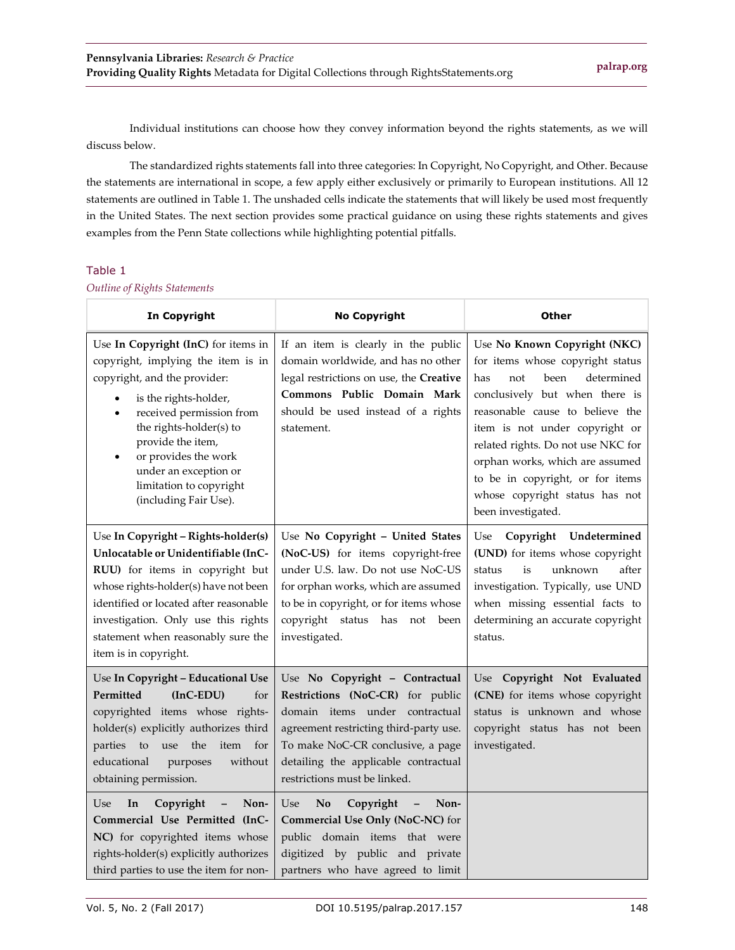Individual institutions can choose how they convey information beyond the rights statements, as we will discuss below.

The standardized rights statements fall into three categories: In Copyright, No Copyright, and Other. Because the statements are international in scope, a few apply either exclusively or primarily to European institutions. All 12 statements are outlined in Table 1. The unshaded cells indicate the statements that will likely be used most frequently in the United States. The next section provides some practical guidance on using these rights statements and gives examples from the Penn State collections while highlighting potential pitfalls.

#### Table 1

*Outline of Rights Statements*

| <b>In Copyright</b>                                                                                                                                                                                                                                                                                                                           | <b>No Copyright</b>                                                                                                                                                                                                                                         | <b>Other</b>                                                                                                                                                                                                                                                                                                                                                                     |
|-----------------------------------------------------------------------------------------------------------------------------------------------------------------------------------------------------------------------------------------------------------------------------------------------------------------------------------------------|-------------------------------------------------------------------------------------------------------------------------------------------------------------------------------------------------------------------------------------------------------------|----------------------------------------------------------------------------------------------------------------------------------------------------------------------------------------------------------------------------------------------------------------------------------------------------------------------------------------------------------------------------------|
| Use In Copyright (InC) for items in<br>copyright, implying the item is in<br>copyright, and the provider:<br>is the rights-holder,<br>$\bullet$<br>received permission from<br>$\bullet$<br>the rights-holder(s) to<br>provide the item,<br>or provides the work<br>under an exception or<br>limitation to copyright<br>(including Fair Use). | If an item is clearly in the public<br>domain worldwide, and has no other<br>legal restrictions on use, the Creative<br>Commons Public Domain Mark<br>should be used instead of a rights<br>statement.                                                      | Use No Known Copyright (NKC)<br>for items whose copyright status<br>been<br>determined<br>not<br>has<br>conclusively but when there is<br>reasonable cause to believe the<br>item is not under copyright or<br>related rights. Do not use NKC for<br>orphan works, which are assumed<br>to be in copyright, or for items<br>whose copyright status has not<br>been investigated. |
| Use In Copyright - Rights-holder(s)<br>Unlocatable or Unidentifiable (InC-<br>RUU) for items in copyright but<br>whose rights-holder(s) have not been<br>identified or located after reasonable<br>investigation. Only use this rights<br>statement when reasonably sure the<br>item is in copyright.                                         | Use No Copyright - United States<br>(NoC-US) for items copyright-free<br>under U.S. law. Do not use NoC-US<br>for orphan works, which are assumed<br>to be in copyright, or for items whose<br>copyright status has not<br>been<br>investigated.            | Copyright Undetermined<br>Use<br>(UND) for items whose copyright<br>status<br>is<br>unknown<br>after<br>investigation. Typically, use UND<br>when missing essential facts to<br>determining an accurate copyright<br>status.                                                                                                                                                     |
| Use In Copyright - Educational Use<br>Permitted<br>$(InC-EDU)$<br>for<br>copyrighted items whose rights-<br>holder(s) explicitly authorizes third<br>the<br>parties<br>to<br>use<br>item<br>for<br>educational<br>without<br>purposes<br>obtaining permission.                                                                                | Use No Copyright - Contractual<br>Restrictions (NoC-CR) for public<br>domain items under contractual<br>agreement restricting third-party use.<br>To make NoC-CR conclusive, a page<br>detailing the applicable contractual<br>restrictions must be linked. | Use Copyright Not Evaluated<br>(CNE) for items whose copyright<br>status is unknown and whose<br>copyright status has not been<br>investigated.                                                                                                                                                                                                                                  |
| Copyright<br>In<br>Non-<br>Use<br>$\overline{\phantom{a}}$<br>Commercial Use Permitted (InC-<br>NC) for copyrighted items whose<br>rights-holder(s) explicitly authorizes<br>third parties to use the item for non-                                                                                                                           | Use<br>No<br>Copyright<br>Non-<br>$\overline{\phantom{a}}$<br>Commercial Use Only (NoC-NC) for<br>public domain items that were<br>digitized by public and private<br>partners who have agreed to limit                                                     |                                                                                                                                                                                                                                                                                                                                                                                  |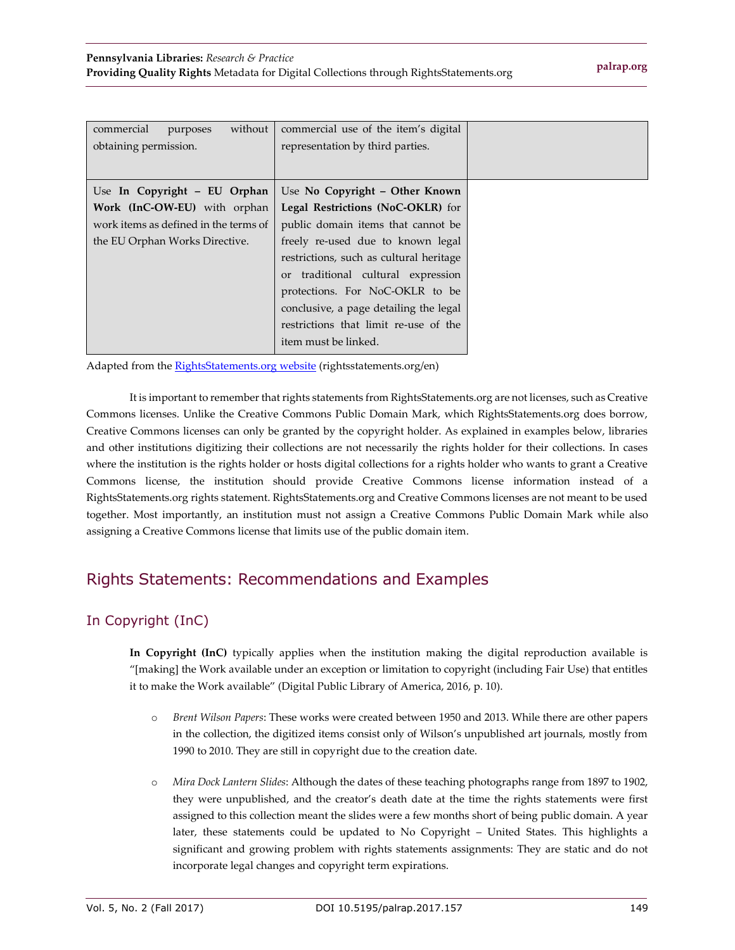| commercial<br>without<br>purposes     | commercial use of the item's digital    |  |
|---------------------------------------|-----------------------------------------|--|
| obtaining permission.                 | representation by third parties.        |  |
|                                       |                                         |  |
| Use In Copyright - EU Orphan          | Use No Copyright - Other Known          |  |
| Work (InC-OW-EU) with orphan          | Legal Restrictions (NoC-OKLR) for       |  |
| work items as defined in the terms of | public domain items that cannot be      |  |
| the EU Orphan Works Directive.        | freely re-used due to known legal       |  |
|                                       | restrictions, such as cultural heritage |  |
|                                       | or traditional cultural expression      |  |
|                                       | protections. For NoC-OKLR to be         |  |
|                                       | conclusive, a page detailing the legal  |  |
|                                       | restrictions that limit re-use of the   |  |
|                                       | item must be linked.                    |  |

Adapted from the **RightsStatements.org website** (rightsstatements.org/en)

It is important to remember that rights statements from RightsStatements.org are not licenses, such as Creative Commons licenses. Unlike the Creative Commons Public Domain Mark, which RightsStatements.org does borrow, Creative Commons licenses can only be granted by the copyright holder. As explained in examples below, libraries and other institutions digitizing their collections are not necessarily the rights holder for their collections. In cases where the institution is the rights holder or hosts digital collections for a rights holder who wants to grant a Creative Commons license, the institution should provide Creative Commons license information instead of a RightsStatements.org rights statement. RightsStatements.org and Creative Commons licenses are not meant to be used together. Most importantly, an institution must not assign a Creative Commons Public Domain Mark while also assigning a Creative Commons license that limits use of the public domain item.

## Rights Statements: Recommendations and Examples

## In Copyright (InC)

**In Copyright (InC)** typically applies when the institution making the digital reproduction available is "[making] the Work available under an exception or limitation to copyright (including Fair Use) that entitles it to make the Work available" (Digital Public Library of America, 2016, p. 10).

- o *Brent Wilson Papers*: These works were created between 1950 and 2013. While there are other papers in the collection, the digitized items consist only of Wilson's unpublished art journals, mostly from 1990 to 2010. They are still in copyright due to the creation date.
- o *Mira Dock Lantern Slides*: Although the dates of these teaching photographs range from 1897 to 1902, they were unpublished, and the creator's death date at the time the rights statements were first assigned to this collection meant the slides were a few months short of being public domain. A year later, these statements could be updated to No Copyright – United States. This highlights a significant and growing problem with rights statements assignments: They are static and do not incorporate legal changes and copyright term expirations.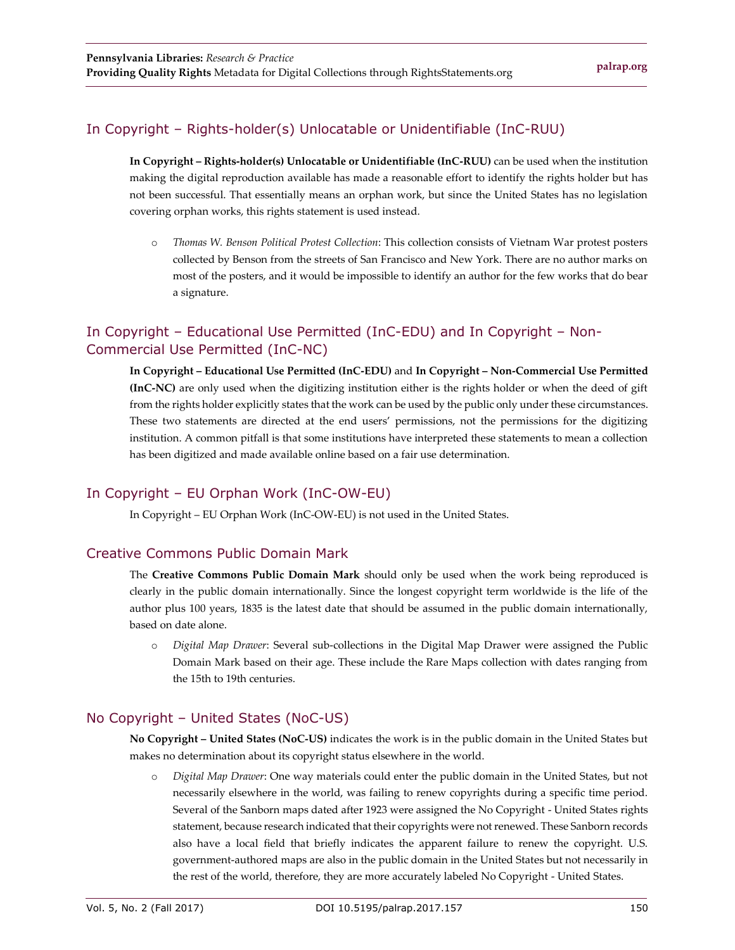#### In Copyright – Rights-holder(s) Unlocatable or Unidentifiable (InC-RUU)

**In Copyright – Rights-holder(s) Unlocatable or Unidentifiable (InC-RUU)** can be used when the institution making the digital reproduction available has made a reasonable effort to identify the rights holder but has not been successful. That essentially means an orphan work, but since the United States has no legislation covering orphan works, this rights statement is used instead.

o *Thomas W. Benson Political Protest Collection*: This collection consists of Vietnam War protest posters collected by Benson from the streets of San Francisco and New York. There are no author marks on most of the posters, and it would be impossible to identify an author for the few works that do bear a signature.

### In Copyright – Educational Use Permitted (InC-EDU) and In Copyright – Non-Commercial Use Permitted (InC-NC)

**In Copyright – Educational Use Permitted (InC-EDU)** and **In Copyright – Non-Commercial Use Permitted (InC-NC)** are only used when the digitizing institution either is the rights holder or when the deed of gift from the rights holder explicitly states that the work can be used by the public only under these circumstances. These two statements are directed at the end users' permissions, not the permissions for the digitizing institution. A common pitfall is that some institutions have interpreted these statements to mean a collection has been digitized and made available online based on a fair use determination.

#### In Copyright – EU Orphan Work (InC-OW-EU)

In Copyright – EU Orphan Work (InC-OW-EU) is not used in the United States.

#### Creative Commons Public Domain Mark

The **Creative Commons Public Domain Mark** should only be used when the work being reproduced is clearly in the public domain internationally. Since the longest copyright term worldwide is the life of the author plus 100 years, 1835 is the latest date that should be assumed in the public domain internationally, based on date alone.

o *Digital Map Drawer*: Several sub-collections in the Digital Map Drawer were assigned the Public Domain Mark based on their age. These include the Rare Maps collection with dates ranging from the 15th to 19th centuries.

#### No Copyright – United States (NoC-US)

**No Copyright – United States (NoC-US)** indicates the work is in the public domain in the United States but makes no determination about its copyright status elsewhere in the world.

o *Digital Map Drawer*: One way materials could enter the public domain in the United States, but not necessarily elsewhere in the world, was failing to renew copyrights during a specific time period. Several of the Sanborn maps dated after 1923 were assigned the No Copyright - United States rights statement, because research indicated that their copyrights were not renewed. These Sanborn records also have a local field that briefly indicates the apparent failure to renew the copyright. U.S. government-authored maps are also in the public domain in the United States but not necessarily in the rest of the world, therefore, they are more accurately labeled No Copyright - United States.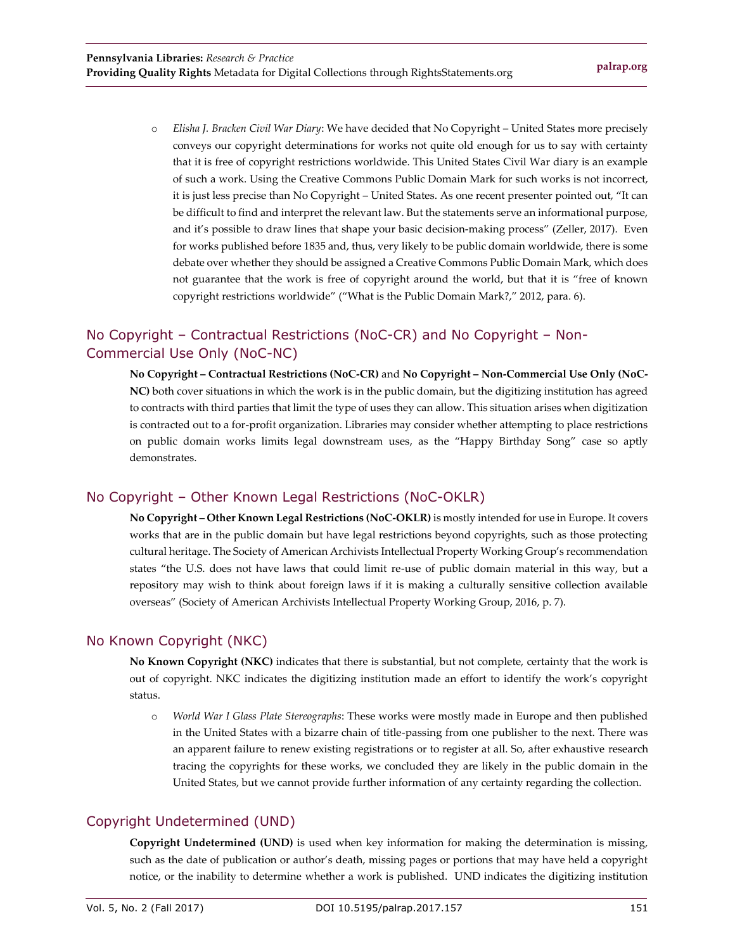o *Elisha J. Bracken Civil War Diary*: We have decided that No Copyright – United States more precisely conveys our copyright determinations for works not quite old enough for us to say with certainty that it is free of copyright restrictions worldwide. This United States Civil War diary is an example of such a work. Using the Creative Commons Public Domain Mark for such works is not incorrect, it is just less precise than No Copyright – United States. As one recent presenter pointed out, "It can be difficult to find and interpret the relevant law. But the statements serve an informational purpose, and it's possible to draw lines that shape your basic decision-making process" (Zeller, 2017). Even for works published before 1835 and, thus, very likely to be public domain worldwide, there is some debate over whether they should be assigned a Creative Commons Public Domain Mark, which does not guarantee that the work is free of copyright around the world, but that it is "free of known copyright restrictions worldwide" ("What is the Public Domain Mark?," 2012, para. 6).

### No Copyright – Contractual Restrictions (NoC-CR) and No Copyright – Non-Commercial Use Only (NoC-NC)

**No Copyright – Contractual Restrictions (NoC-CR)** and **No Copyright – Non-Commercial Use Only (NoC-NC)** both cover situations in which the work is in the public domain, but the digitizing institution has agreed to contracts with third parties that limit the type of uses they can allow. This situation arises when digitization is contracted out to a for-profit organization. Libraries may consider whether attempting to place restrictions on public domain works limits legal downstream uses, as the "Happy Birthday Song" case so aptly demonstrates.

#### No Copyright – Other Known Legal Restrictions (NoC-OKLR)

**No Copyright – Other Known Legal Restrictions (NoC-OKLR)** is mostly intended for use in Europe. It covers works that are in the public domain but have legal restrictions beyond copyrights, such as those protecting cultural heritage. The Society of American Archivists Intellectual Property Working Group's recommendation states "the U.S. does not have laws that could limit re-use of public domain material in this way, but a repository may wish to think about foreign laws if it is making a culturally sensitive collection available overseas" (Society of American Archivists Intellectual Property Working Group, 2016, p. 7).

#### No Known Copyright (NKC)

**No Known Copyright (NKC)** indicates that there is substantial, but not complete, certainty that the work is out of copyright. NKC indicates the digitizing institution made an effort to identify the work's copyright status.

o *World War I Glass Plate Stereographs*: These works were mostly made in Europe and then published in the United States with a bizarre chain of title-passing from one publisher to the next. There was an apparent failure to renew existing registrations or to register at all. So, after exhaustive research tracing the copyrights for these works, we concluded they are likely in the public domain in the United States, but we cannot provide further information of any certainty regarding the collection.

#### Copyright Undetermined (UND)

**Copyright Undetermined (UND)** is used when key information for making the determination is missing, such as the date of publication or author's death, missing pages or portions that may have held a copyright notice, or the inability to determine whether a work is published. UND indicates the digitizing institution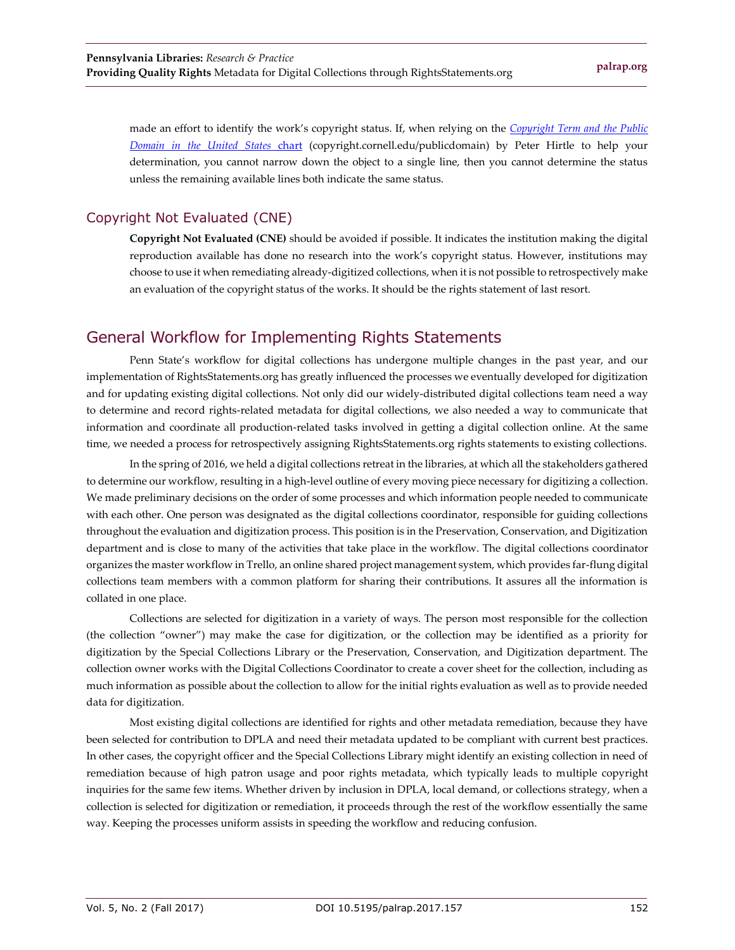made an effort to identify the work's copyright status. If, when relying on the *[Copyright Term and the Public](https://copyright.cornell.edu/publicdomain)  [Domain in the United States](https://copyright.cornell.edu/publicdomain)* chart (copyright.cornell.edu/publicdomain) by Peter Hirtle to help your determination, you cannot narrow down the object to a single line, then you cannot determine the status unless the remaining available lines both indicate the same status.

#### Copyright Not Evaluated (CNE)

**Copyright Not Evaluated (CNE)** should be avoided if possible. It indicates the institution making the digital reproduction available has done no research into the work's copyright status. However, institutions may choose to use it when remediating already-digitized collections, when it is not possible to retrospectively make an evaluation of the copyright status of the works. It should be the rights statement of last resort.

## General Workflow for Implementing Rights Statements

Penn State's workflow for digital collections has undergone multiple changes in the past year, and our implementation of RightsStatements.org has greatly influenced the processes we eventually developed for digitization and for updating existing digital collections. Not only did our widely-distributed digital collections team need a way to determine and record rights-related metadata for digital collections, we also needed a way to communicate that information and coordinate all production-related tasks involved in getting a digital collection online. At the same time, we needed a process for retrospectively assigning RightsStatements.org rights statements to existing collections.

In the spring of 2016, we held a digital collections retreat in the libraries, at which all the stakeholders gathered to determine our workflow, resulting in a high-level outline of every moving piece necessary for digitizing a collection. We made preliminary decisions on the order of some processes and which information people needed to communicate with each other. One person was designated as the digital collections coordinator, responsible for guiding collections throughout the evaluation and digitization process. This position is in the Preservation, Conservation, and Digitization department and is close to many of the activities that take place in the workflow. The digital collections coordinator organizes the master workflow in Trello, an online shared project management system, which provides far-flung digital collections team members with a common platform for sharing their contributions. It assures all the information is collated in one place.

Collections are selected for digitization in a variety of ways. The person most responsible for the collection (the collection "owner") may make the case for digitization, or the collection may be identified as a priority for digitization by the Special Collections Library or the Preservation, Conservation, and Digitization department. The collection owner works with the Digital Collections Coordinator to create a cover sheet for the collection, including as much information as possible about the collection to allow for the initial rights evaluation as well as to provide needed data for digitization.

Most existing digital collections are identified for rights and other metadata remediation, because they have been selected for contribution to DPLA and need their metadata updated to be compliant with current best practices. In other cases, the copyright officer and the Special Collections Library might identify an existing collection in need of remediation because of high patron usage and poor rights metadata, which typically leads to multiple copyright inquiries for the same few items. Whether driven by inclusion in DPLA, local demand, or collections strategy, when a collection is selected for digitization or remediation, it proceeds through the rest of the workflow essentially the same way. Keeping the processes uniform assists in speeding the workflow and reducing confusion.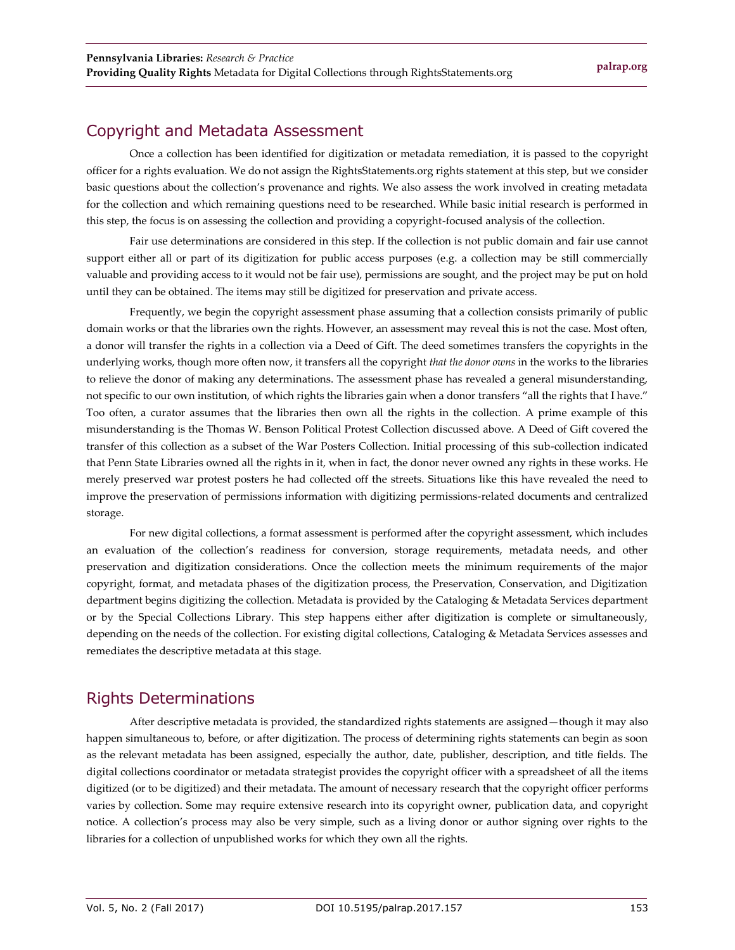## Copyright and Metadata Assessment

Once a collection has been identified for digitization or metadata remediation, it is passed to the copyright officer for a rights evaluation. We do not assign the RightsStatements.org rights statement at this step, but we consider basic questions about the collection's provenance and rights. We also assess the work involved in creating metadata for the collection and which remaining questions need to be researched. While basic initial research is performed in this step, the focus is on assessing the collection and providing a copyright-focused analysis of the collection.

Fair use determinations are considered in this step. If the collection is not public domain and fair use cannot support either all or part of its digitization for public access purposes (e.g. a collection may be still commercially valuable and providing access to it would not be fair use), permissions are sought, and the project may be put on hold until they can be obtained. The items may still be digitized for preservation and private access.

Frequently, we begin the copyright assessment phase assuming that a collection consists primarily of public domain works or that the libraries own the rights. However, an assessment may reveal this is not the case. Most often, a donor will transfer the rights in a collection via a Deed of Gift. The deed sometimes transfers the copyrights in the underlying works, though more often now, it transfers all the copyright *that the donor owns* in the works to the libraries to relieve the donor of making any determinations. The assessment phase has revealed a general misunderstanding, not specific to our own institution, of which rights the libraries gain when a donor transfers "all the rights that I have." Too often, a curator assumes that the libraries then own all the rights in the collection. A prime example of this misunderstanding is the Thomas W. Benson Political Protest Collection discussed above. A Deed of Gift covered the transfer of this collection as a subset of the War Posters Collection. Initial processing of this sub-collection indicated that Penn State Libraries owned all the rights in it, when in fact, the donor never owned any rights in these works. He merely preserved war protest posters he had collected off the streets. Situations like this have revealed the need to improve the preservation of permissions information with digitizing permissions-related documents and centralized storage.

For new digital collections, a format assessment is performed after the copyright assessment, which includes an evaluation of the collection's readiness for conversion, storage requirements, metadata needs, and other preservation and digitization considerations. Once the collection meets the minimum requirements of the major copyright, format, and metadata phases of the digitization process, the Preservation, Conservation, and Digitization department begins digitizing the collection. Metadata is provided by the Cataloging & Metadata Services department or by the Special Collections Library. This step happens either after digitization is complete or simultaneously, depending on the needs of the collection. For existing digital collections, Cataloging & Metadata Services assesses and remediates the descriptive metadata at this stage.

## Rights Determinations

After descriptive metadata is provided, the standardized rights statements are assigned—though it may also happen simultaneous to, before, or after digitization. The process of determining rights statements can begin as soon as the relevant metadata has been assigned, especially the author, date, publisher, description, and title fields. The digital collections coordinator or metadata strategist provides the copyright officer with a spreadsheet of all the items digitized (or to be digitized) and their metadata. The amount of necessary research that the copyright officer performs varies by collection. Some may require extensive research into its copyright owner, publication data, and copyright notice. A collection's process may also be very simple, such as a living donor or author signing over rights to the libraries for a collection of unpublished works for which they own all the rights.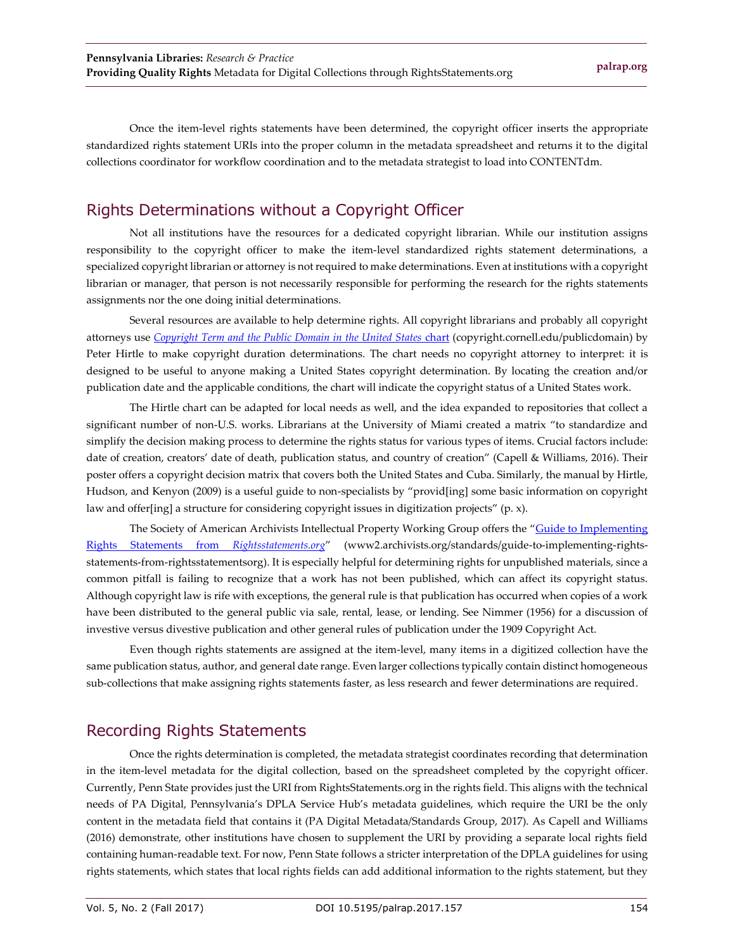Once the item-level rights statements have been determined, the copyright officer inserts the appropriate standardized rights statement URIs into the proper column in the metadata spreadsheet and returns it to the digital collections coordinator for workflow coordination and to the metadata strategist to load into CONTENTdm.

## Rights Determinations without a Copyright Officer

Not all institutions have the resources for a dedicated copyright librarian. While our institution assigns responsibility to the copyright officer to make the item-level standardized rights statement determinations, a specialized copyright librarian or attorney is not required to make determinations. Even at institutions with a copyright librarian or manager, that person is not necessarily responsible for performing the research for the rights statements assignments nor the one doing initial determinations.

Several resources are available to help determine rights. All copyright librarians and probably all copyright attorneys use *[Copyright Term and the Public Domain in the United States](https://copyright.cornell.edu/publicdomain)* chart (copyright.cornell.edu/publicdomain) by Peter Hirtle to make copyright duration determinations. The chart needs no copyright attorney to interpret: it is designed to be useful to anyone making a United States copyright determination. By locating the creation and/or publication date and the applicable conditions, the chart will indicate the copyright status of a United States work.

The Hirtle chart can be adapted for local needs as well, and the idea expanded to repositories that collect a significant number of non-U.S. works. Librarians at the University of Miami created a matrix "to standardize and simplify the decision making process to determine the rights status for various types of items. Crucial factors include: date of creation, creators' date of death, publication status, and country of creation" (Capell & Williams, 2016). Their poster offers a copyright decision matrix that covers both the United States and Cuba. Similarly, the manual by Hirtle, Hudson, and Kenyon (2009) is a useful guide to non-specialists by "provid[ing] some basic information on copyright law and offer[ing] a structure for considering copyright issues in digitization projects" (p. x).

The Society of American Archivists Intellectual Property Working Group offers the "[Guide to Implementing](https://www2.archivists.org/standards/guide-to-implementing-rights-statements-from-rightsstatementsorg)  [Rights Statements from](https://www2.archivists.org/standards/guide-to-implementing-rights-statements-from-rightsstatementsorg) *Rightsstatements.org*" (www2.archivists.org/standards/guide-to-implementing-rightsstatements-from-rightsstatementsorg). It is especially helpful for determining rights for unpublished materials, since a common pitfall is failing to recognize that a work has not been published, which can affect its copyright status. Although copyright law is rife with exceptions, the general rule is that publication has occurred when copies of a work have been distributed to the general public via sale, rental, lease, or lending. See Nimmer (1956) for a discussion of investive versus divestive publication and other general rules of publication under the 1909 Copyright Act.

Even though rights statements are assigned at the item-level, many items in a digitized collection have the same publication status, author, and general date range. Even larger collections typically contain distinct homogeneous sub-collections that make assigning rights statements faster, as less research and fewer determinations are required.

## Recording Rights Statements

Once the rights determination is completed, the metadata strategist coordinates recording that determination in the item-level metadata for the digital collection, based on the spreadsheet completed by the copyright officer. Currently, Penn State provides just the URI from RightsStatements.org in the rights field. This aligns with the technical needs of PA Digital, Pennsylvania's DPLA Service Hub's metadata guidelines, which require the URI be the only content in the metadata field that contains it (PA Digital Metadata/Standards Group, 2017). As Capell and Williams (2016) demonstrate, other institutions have chosen to supplement the URI by providing a separate local rights field containing human-readable text. For now, Penn State follows a stricter interpretation of the DPLA guidelines for using rights statements, which states that local rights fields can add additional information to the rights statement, but they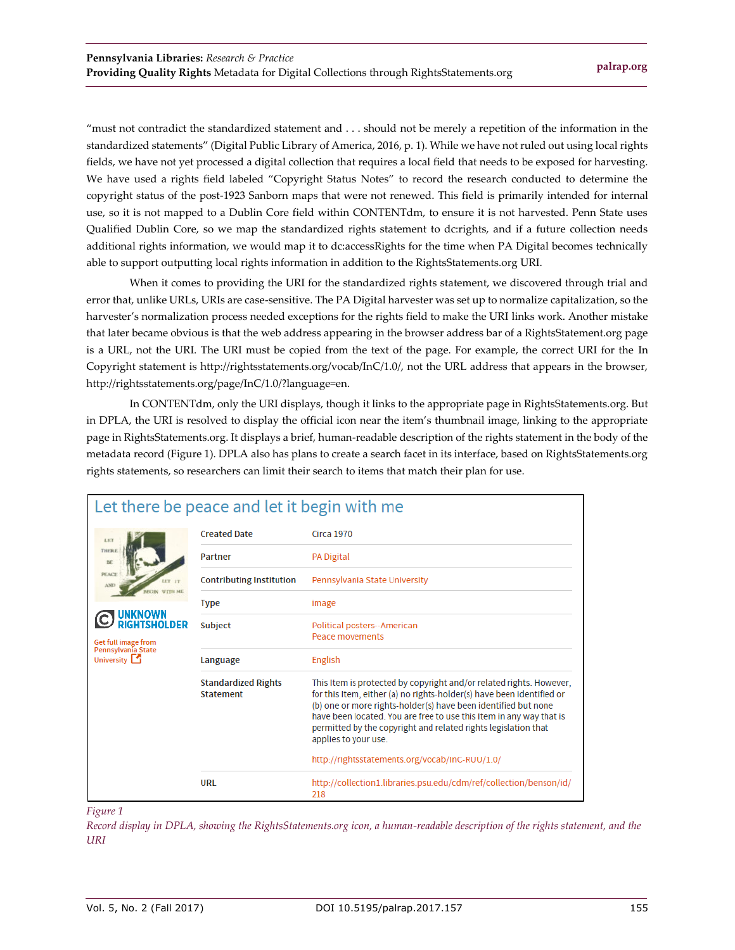"must not contradict the standardized statement and . . . should not be merely a repetition of the information in the standardized statements" (Digital Public Library of America, 2016, p. 1). While we have not ruled out using local rights fields, we have not yet processed a digital collection that requires a local field that needs to be exposed for harvesting. We have used a rights field labeled "Copyright Status Notes" to record the research conducted to determine the copyright status of the post-1923 Sanborn maps that were not renewed. This field is primarily intended for internal use, so it is not mapped to a Dublin Core field within CONTENTdm, to ensure it is not harvested. Penn State uses Qualified Dublin Core, so we map the standardized rights statement to dc:rights, and if a future collection needs additional rights information, we would map it to dc:accessRights for the time when PA Digital becomes technically able to support outputting local rights information in addition to the RightsStatements.org URI.

When it comes to providing the URI for the standardized rights statement, we discovered through trial and error that, unlike URLs, URIs are case-sensitive. The PA Digital harvester was set up to normalize capitalization, so the harvester's normalization process needed exceptions for the rights field to make the URI links work. Another mistake that later became obvious is that the web address appearing in the browser address bar of a RightsStatement.org page is a URL, not the URI. The URI must be copied from the text of the page. For example, the correct URI for the In Copyright statement is http://rightsstatements.org/vocab/InC/1.0/, not the URL address that appears in the browser, http://rightsstatements.org/page/InC/1.0/?language=en.

In CONTENTdm, only the URI displays, though it links to the appropriate page in RightsStatements.org. But in DPLA, the URI is resolved to display the official icon near the item's thumbnail image, linking to the appropriate page in RightsStatements.org. It displays a brief, human-readable description of the rights statement in the body of the metadata record (Figure 1). DPLA also has plans to create a search facet in its interface, based on RightsStatements.org rights statements, so researchers can limit their search to items that match their plan for use.

| Let there be peace and let it begin with me                                                     |                                                |                                                                                                                                                                                                                                                                                                                                                                                                                                   |  |  |
|-------------------------------------------------------------------------------------------------|------------------------------------------------|-----------------------------------------------------------------------------------------------------------------------------------------------------------------------------------------------------------------------------------------------------------------------------------------------------------------------------------------------------------------------------------------------------------------------------------|--|--|
| LET                                                                                             | <b>Created Date</b>                            | <b>Circa 1970</b>                                                                                                                                                                                                                                                                                                                                                                                                                 |  |  |
| THERE<br>BE                                                                                     | <b>Partner</b>                                 | <b>PA Digital</b>                                                                                                                                                                                                                                                                                                                                                                                                                 |  |  |
| <b>PEACE</b><br>GHTSHOI DER<br><b>Get full image from</b><br>Pennsylvania State<br>University 1 | <b>Contributing Institution</b>                | Pennsylvania State University                                                                                                                                                                                                                                                                                                                                                                                                     |  |  |
|                                                                                                 | <b>Type</b>                                    | image                                                                                                                                                                                                                                                                                                                                                                                                                             |  |  |
|                                                                                                 | Subject                                        | Political posters--American<br>Peace movements                                                                                                                                                                                                                                                                                                                                                                                    |  |  |
|                                                                                                 | Language                                       | English                                                                                                                                                                                                                                                                                                                                                                                                                           |  |  |
|                                                                                                 | <b>Standardized Rights</b><br><b>Statement</b> | This Item is protected by copyright and/or related rights. However,<br>for this Item, either (a) no rights-holder(s) have been identified or<br>(b) one or more rights-holder(s) have been identified but none<br>have been located. You are free to use this Item in any way that is<br>permitted by the copyright and related rights legislation that<br>applies to your use.<br>http://rightsstatements.org/vocab/InC-RUU/1.0/ |  |  |
|                                                                                                 | URL                                            | http://collection1.libraries.psu.edu/cdm/ref/collection/benson/id/<br>218                                                                                                                                                                                                                                                                                                                                                         |  |  |

#### *Figure 1*

*Record display in DPLA, showing the RightsStatements.org icon, a human-readable description of the rights statement, and the URI*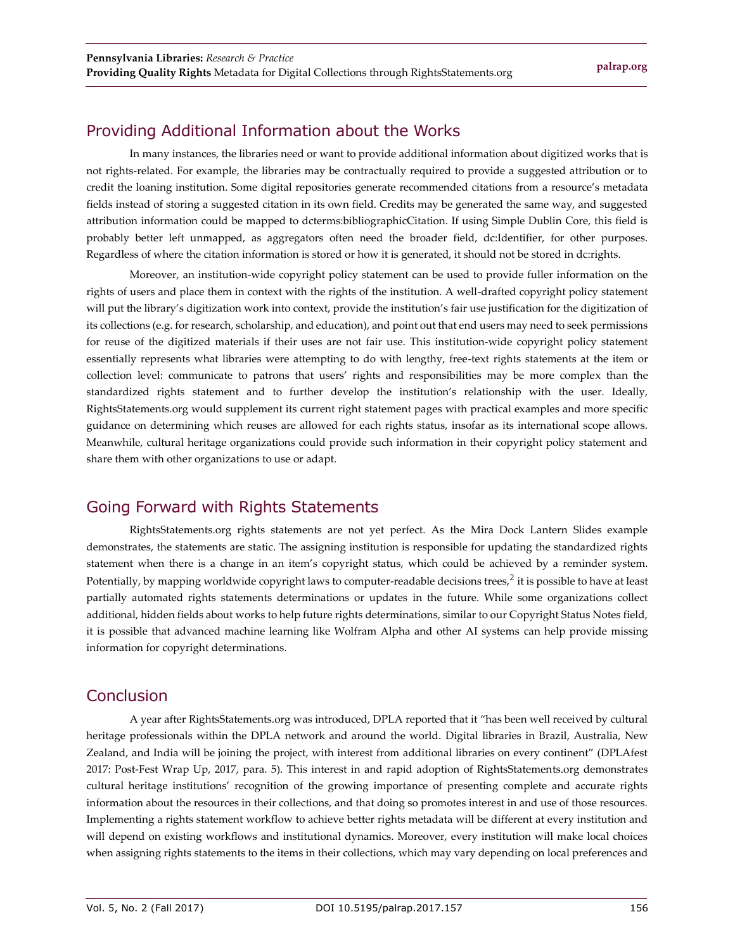## Providing Additional Information about the Works

In many instances, the libraries need or want to provide additional information about digitized works that is not rights-related. For example, the libraries may be contractually required to provide a suggested attribution or to credit the loaning institution. Some digital repositories generate recommended citations from a resource's metadata fields instead of storing a suggested citation in its own field. Credits may be generated the same way, and suggested attribution information could be mapped to dcterms:bibliographicCitation. If using Simple Dublin Core, this field is probably better left unmapped, as aggregators often need the broader field, dc:Identifier, for other purposes. Regardless of where the citation information is stored or how it is generated, it should not be stored in dc:rights.

Moreover, an institution-wide copyright policy statement can be used to provide fuller information on the rights of users and place them in context with the rights of the institution. A well-drafted copyright policy statement will put the library's digitization work into context, provide the institution's fair use justification for the digitization of its collections (e.g. for research, scholarship, and education), and point out that end users may need to seek permissions for reuse of the digitized materials if their uses are not fair use. This institution-wide copyright policy statement essentially represents what libraries were attempting to do with lengthy, free-text rights statements at the item or collection level: communicate to patrons that users' rights and responsibilities may be more complex than the standardized rights statement and to further develop the institution's relationship with the user. Ideally, RightsStatements.org would supplement its current right statement pages with practical examples and more specific guidance on determining which reuses are allowed for each rights status, insofar as its international scope allows. Meanwhile, cultural heritage organizations could provide such information in their copyright policy statement and share them with other organizations to use or adapt.

## Going Forward with Rights Statements

RightsStatements.org rights statements are not yet perfect. As the Mira Dock Lantern Slides example demonstrates, the statements are static. The assigning institution is responsible for updating the standardized rights statement when there is a change in an item's copyright status, which could be achieved by a reminder system. Potentially, by mapping worldwide copyright laws to computer-readable decisions trees, $^2$  it is possible to have at least partially automated rights statements determinations or updates in the future. While some organizations collect additional, hidden fields about works to help future rights determinations, similar to our Copyright Status Notes field, it is possible that advanced machine learning like Wolfram Alpha and other AI systems can help provide missing information for copyright determinations.

## Conclusion

A year after RightsStatements.org was introduced, DPLA reported that it "has been well received by cultural heritage professionals within the DPLA network and around the world. Digital libraries in Brazil, Australia, New Zealand, and India will be joining the project, with interest from additional libraries on every continent" (DPLAfest 2017: Post-Fest Wrap Up, 2017, para. 5). This interest in and rapid adoption of RightsStatements.org demonstrates cultural heritage institutions' recognition of the growing importance of presenting complete and accurate rights information about the resources in their collections, and that doing so promotes interest in and use of those resources. Implementing a rights statement workflow to achieve better rights metadata will be different at every institution and will depend on existing workflows and institutional dynamics. Moreover, every institution will make local choices when assigning rights statements to the items in their collections, which may vary depending on local preferences and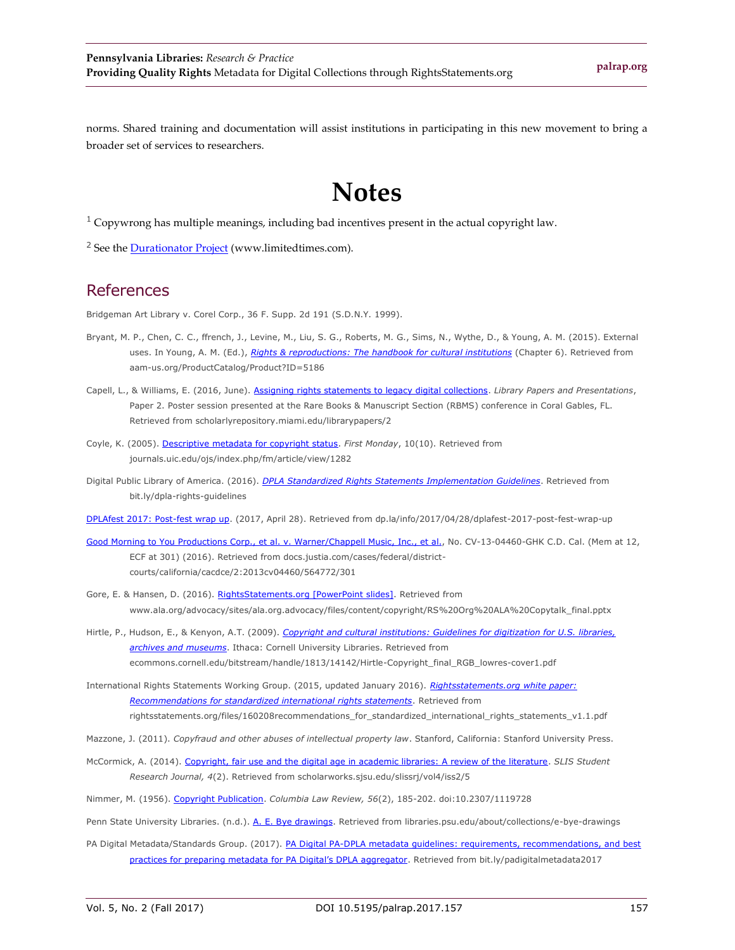norms. Shared training and documentation will assist institutions in participating in this new movement to bring a broader set of services to researchers.

## **Notes**

 $1$  Copywrong has multiple meanings, including bad incentives present in the actual copyright law.

<sup>2</sup> See th[e Durationator Project](http://www.limitedtimes.com/) (www.limitedtimes.com).

#### References

Bridgeman Art Library v. Corel Corp., 36 F. Supp. 2d 191 (S.D.N.Y. 1999).

- Bryant, M. P., Chen, C. C., ffrench, J., Levine, M., Liu, S. G., Roberts, M. G., Sims, N., Wythe, D., & Young, A. M. (2015). External uses. In Young, A. M. (Ed.), *[Rights & reproductions: The handbook for cultural institutions](https://aam-us.org/ProductCatalog/Product?ID=5186)* (Chapter 6). Retrieved from aam-us.org/ProductCatalog/Product?ID=5186
- Capell, L., & Williams, E. (2016, June). [Assigning rights statements to legacy digital collections.](http://scholarlyrepository.miami.edu/librarypapers/2/) *Library Papers and Presentations*, Paper 2. Poster session presented at the Rare Books & Manuscript Section (RBMS) conference in Coral Gables, FL. Retrieved from scholarlyrepository.miami.edu/librarypapers/2
- Coyle, K. (2005). [Descriptive metadata for copyright status.](http://journals.uic.edu/ojs/index.php/fm/article/view/1282) *First Monday*, 10(10). Retrieved from journals.uic.edu/ojs/index.php/fm/article/view/1282
- Digital Public Library of America. (2016). *[DPLA Standardized Rights Statements Implementation Guidelines](http://bit.ly/dpla-rights-guidelines)*. Retrieved from bit.ly/dpla-rights-guidelines

[DPLAfest 2017: Post-fest wrap up.](https://dp.la/info/2017/04/28/dplafest-2017-post-fest-wrap-up/) (2017, April 28). Retrieved from dp.la/info/2017/04/28/dplafest-2017-post-fest-wrap-up

- [Good Morning to You Productions Corp., et al. v. Warner/Chappell Music, Inc., et al.,](https://docs.justia.com/cases/federal/district-courts/california/cacdce/2:2013cv04460/564772/301) No. CV-13-04460-GHK C.D. Cal. (Mem at 12, ECF at 301) (2016). Retrieved from docs.justia.com/cases/federal/districtcourts/california/cacdce/2:2013cv04460/564772/301
- Gore, E. & Hansen, D. (2016). [RightsStatements.org \[PowerPoint slides\].](http://www.ala.org/advocacy/sites/ala.org.advocacy/files/content/copyright/RS%20Org%20ALA%20Copytalk_final.pptx) Retrieved from www.ala.org/advocacy/sites/ala.org.advocacy/files/content/copyright/RS%20Org%20ALA%20Copytalk\_final.pptx
- Hirtle, P., Hudson, E., & Kenyon, A.T. (2009). *[Copyright and cultural institutions: Guidelines for digitization for U.S. libraries,](https://ecommons.cornell.edu/bitstream/handle/1813/14142/Hirtle-Copyright_final_RGB_lowres-cover1.pdf;sequence=2)  [archives and museums](https://ecommons.cornell.edu/bitstream/handle/1813/14142/Hirtle-Copyright_final_RGB_lowres-cover1.pdf;sequence=2)*. Ithaca: Cornell University Libraries. Retrieved from ecommons.cornell.edu/bitstream/handle/1813/14142/Hirtle-Copyright\_final\_RGB\_lowres-cover1.pdf
- International Rights Statements Working Group. (2015, updated January 2016). *[Rightsstatements.org white paper:](http://rightsstatements.org/files/160208recommendations_for_standardized_international_rights_statements_v1.1.pdf)  [Recommendations for standardized international rights statements](http://rightsstatements.org/files/160208recommendations_for_standardized_international_rights_statements_v1.1.pdf)*. Retrieved from rightsstatements.org/files/160208recommendations\_for\_standardized\_international\_rights\_statements\_v1.1.pdf
- Mazzone, J. (2011). *Copyfraud and other abuses of intellectual property law*. Stanford, California: Stanford University Press.
- McCormick, A. (2014). [Copyright, fair use and the digital age in academic libraries: A review of the literature.](http://scholarworks.sjsu.edu/slissrj/vol4/iss2/5) *SLIS Student Research Journal, 4*(2). Retrieved from scholarworks.sjsu.edu/slissrj/vol4/iss2/5
- Nimmer, M. (1956). [Copyright Publication.](https://doi.org/10.2307/1119728) *Columbia Law Review, 56*(2), 185-202. doi:10.2307/1119728

Penn State University Libraries. (n.d.). [A. E. Bye drawings.](https://libraries.psu.edu/about/collections/e-bye-drawings) Retrieved from libraries.psu.edu/about/collections/e-bye-drawings

PA Digital Metadata/Standards Group. (2017). PA Digital PA-DPLA metadata guidelines: requirements, recommendations, and best practices for [preparing metadata for PA Digital's DPLA aggregator](http://bit.ly/padigitalmetadata2017). Retrieved from bit.ly/padigitalmetadata2017